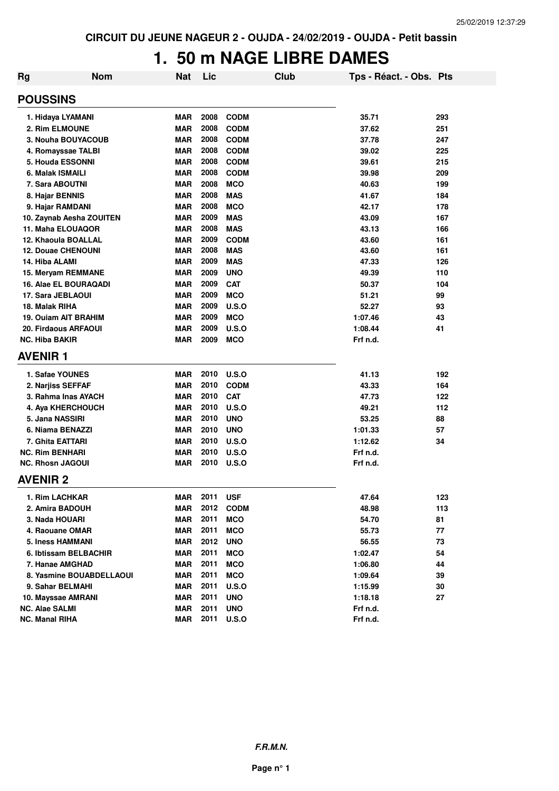## **1. 50 m NAGE LIBRE DAMES**

| Rg | <b>Nom</b>                  | <b>Nat</b> | Lic  | Club         | Tps - Réact. - Obs. Pts |     |
|----|-----------------------------|------------|------|--------------|-------------------------|-----|
|    | <b>POUSSINS</b>             |            |      |              |                         |     |
|    | 1. Hidaya LYAMANI           | <b>MAR</b> | 2008 | <b>CODM</b>  | 35.71                   | 293 |
|    | 2. Rim ELMOUNE              | <b>MAR</b> | 2008 | <b>CODM</b>  | 37.62                   | 251 |
|    | 3. Nouha BOUYACOUB          | <b>MAR</b> | 2008 | <b>CODM</b>  | 37.78                   | 247 |
|    | 4. Romayssae TALBI          | <b>MAR</b> | 2008 | <b>CODM</b>  | 39.02                   | 225 |
|    | 5. Houda ESSONNI            | <b>MAR</b> | 2008 | <b>CODM</b>  | 39.61                   | 215 |
|    | 6. Malak ISMAILI            | <b>MAR</b> | 2008 | <b>CODM</b>  | 39.98                   | 209 |
|    | 7. Sara ABOUTNI             | <b>MAR</b> | 2008 | <b>MCO</b>   | 40.63                   | 199 |
|    | 8. Hajar BENNIS             | <b>MAR</b> | 2008 | <b>MAS</b>   | 41.67                   | 184 |
|    | 9. Hajar RAMDANI            | <b>MAR</b> | 2008 | <b>MCO</b>   | 42.17                   | 178 |
|    | 10. Zaynab Aesha ZOUITEN    | <b>MAR</b> | 2009 | <b>MAS</b>   | 43.09                   | 167 |
|    | 11. Maha ELOUAQOR           | <b>MAR</b> | 2008 | <b>MAS</b>   | 43.13                   | 166 |
|    | 12. Khaoula BOALLAL         | <b>MAR</b> | 2009 | <b>CODM</b>  | 43.60                   | 161 |
|    | <b>12. Douae CHENOUNI</b>   | <b>MAR</b> | 2008 | <b>MAS</b>   | 43.60                   | 161 |
|    | 14. Hiba ALAMI              | <b>MAR</b> | 2009 | <b>MAS</b>   | 47.33                   | 126 |
|    | 15. Meryam REMMANE          | <b>MAR</b> | 2009 | <b>UNO</b>   | 49.39                   | 110 |
|    | 16. Alae EL BOURAQADI       | <b>MAR</b> | 2009 | <b>CAT</b>   | 50.37                   | 104 |
|    | 17. Sara JEBLAOUI           | <b>MAR</b> | 2009 | <b>MCO</b>   | 51.21                   | 99  |
|    | 18. Malak RIHA              | <b>MAR</b> | 2009 | U.S.O        | 52.27                   | 93  |
|    | <b>19. Ouiam AIT BRAHIM</b> | <b>MAR</b> | 2009 | <b>MCO</b>   | 1:07.46                 | 43  |
|    | 20. Firdaous ARFAOUI        | <b>MAR</b> | 2009 | U.S.O        | 1:08.44                 | 41  |
|    | <b>NC. Hiba BAKIR</b>       | <b>MAR</b> | 2009 | <b>MCO</b>   | Frf n.d.                |     |
|    | <b>AVENIR1</b>              |            |      |              |                         |     |
|    | 1. Safae YOUNES             | <b>MAR</b> | 2010 | U.S.O        | 41.13                   | 192 |
|    | 2. Narjiss SEFFAF           | <b>MAR</b> | 2010 | <b>CODM</b>  | 43.33                   | 164 |
|    | 3. Rahma Inas AYACH         | <b>MAR</b> | 2010 | <b>CAT</b>   | 47.73                   | 122 |
|    | 4. Aya KHERCHOUCH           | <b>MAR</b> | 2010 | U.S.O        | 49.21                   | 112 |
|    | 5. Jana NASSIRI             | <b>MAR</b> | 2010 | <b>UNO</b>   | 53.25                   | 88  |
|    | 6. Niama BENAZZI            | <b>MAR</b> | 2010 | <b>UNO</b>   | 1:01.33                 | 57  |
|    | 7. Ghita EATTARI            | <b>MAR</b> | 2010 | U.S.O        | 1:12.62                 | 34  |
|    | <b>NC. Rim BENHARI</b>      | <b>MAR</b> | 2010 | <b>U.S.O</b> | Frf n.d.                |     |
|    | <b>NC. Rhosn JAGOUI</b>     | MAR        | 2010 | U.S.O        | Frf n.d.                |     |
|    | <b>AVENIR 2</b>             |            |      |              |                         |     |
|    | 1. Rim LACHKAR              | <b>MAR</b> | 2011 | <b>USF</b>   | 47.64                   | 123 |
|    | 2. Amira BADOUH             | <b>MAR</b> | 2012 | <b>CODM</b>  | 48.98                   | 113 |
|    | 3. Nada HOUARI              | <b>MAR</b> | 2011 | <b>MCO</b>   | 54.70                   | 81  |
|    | 4. Raouane OMAR             | <b>MAR</b> | 2011 | <b>MCO</b>   | 55.73                   | 77  |
|    | <b>5. Iness HAMMANI</b>     | <b>MAR</b> | 2012 | <b>UNO</b>   | 56.55                   | 73  |
|    | 6. Ibtissam BELBACHIR       | <b>MAR</b> | 2011 | <b>MCO</b>   | 1:02.47                 | 54  |
|    | 7. Hanae AMGHAD             | <b>MAR</b> | 2011 | <b>MCO</b>   | 1:06.80                 | 44  |
|    | 8. Yasmine BOUABDELLAOUI    | <b>MAR</b> | 2011 | <b>MCO</b>   | 1:09.64                 | 39  |
|    | 9. Sahar BELMAHI            | <b>MAR</b> | 2011 | <b>U.S.O</b> | 1:15.99                 | 30  |
|    | 10. Mayssae AMRANI          | <b>MAR</b> | 2011 | <b>UNO</b>   | 1:18.18                 | 27  |
|    | <b>NC. Alae SALMI</b>       | <b>MAR</b> | 2011 | <b>UNO</b>   | Frf n.d.                |     |
|    | <b>NC. Manal RIHA</b>       | <b>MAR</b> | 2011 | <b>U.S.O</b> | Frf n.d.                |     |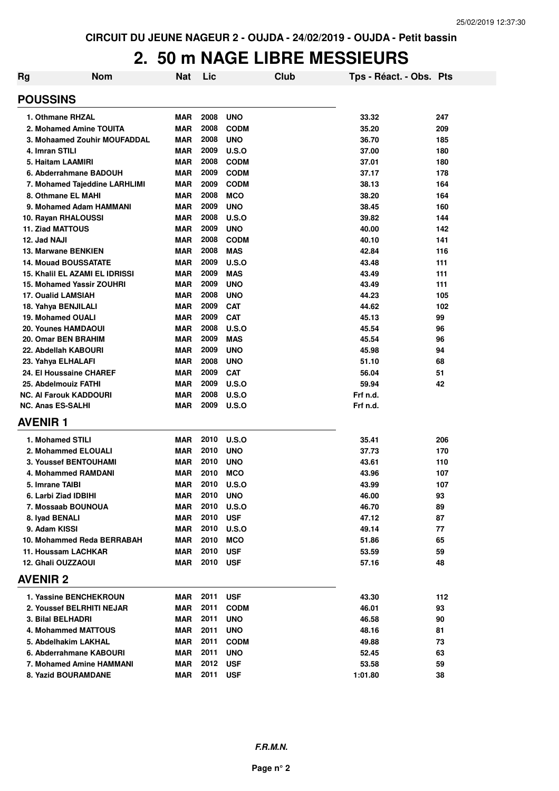## **2. 50 m NAGE LIBRE MESSIEURS**

| <b>Rg</b>                   | <b>Nom</b>                       | <b>Nat</b> | Lic  | <b>Club</b>  | Tps - Réact. - Obs. Pts |     |
|-----------------------------|----------------------------------|------------|------|--------------|-------------------------|-----|
| <b>POUSSINS</b>             |                                  |            |      |              |                         |     |
| 1. Othmane RHZAL            |                                  | <b>MAR</b> | 2008 | <b>UNO</b>   | 33.32                   | 247 |
|                             | 2. Mohamed Amine TOUITA          | <b>MAR</b> | 2008 | <b>CODM</b>  | 35.20                   | 209 |
|                             | 3. Mohaamed Zouhir MOUFADDAL     | <b>MAR</b> | 2008 | <b>UNO</b>   | 36.70                   | 185 |
| 4. Imran STILI              |                                  | <b>MAR</b> | 2009 | U.S.O        | 37.00                   | 180 |
| 5. Haitam LAAMIRI           |                                  | <b>MAR</b> | 2008 | <b>CODM</b>  | 37.01                   | 180 |
|                             | 6. Abderrahmane BADOUH           | <b>MAR</b> | 2009 | <b>CODM</b>  | 37.17                   | 178 |
|                             | 7. Mohamed Tajeddine LARHLIMI    | <b>MAR</b> | 2009 | <b>CODM</b>  | 38.13                   | 164 |
| 8. Othmane EL MAHI          |                                  | <b>MAR</b> | 2008 | <b>MCO</b>   | 38.20                   | 164 |
|                             | 9. Mohamed Adam HAMMANI          | <b>MAR</b> | 2009 | <b>UNO</b>   | 38.45                   | 160 |
| 10. Rayan RHALOUSSI         |                                  | <b>MAR</b> | 2008 | U.S.O        | 39.82                   | 144 |
| 11. Ziad MATTOUS            |                                  | <b>MAR</b> | 2009 | <b>UNO</b>   | 40.00                   | 142 |
| 12. Jad NAJI                |                                  | <b>MAR</b> | 2008 | <b>CODM</b>  | 40.10                   | 141 |
| 13. Marwane BENKIEN         |                                  | <b>MAR</b> | 2008 | <b>MAS</b>   | 42.84                   | 116 |
| <b>14. Mouad BOUSSATATE</b> |                                  | <b>MAR</b> | 2009 | U.S.O        | 43.48                   | 111 |
|                             | 15. Khalil EL AZAMI EL IDRISSI   | <b>MAR</b> | 2009 | <b>MAS</b>   | 43.49                   | 111 |
|                             | <b>15. Mohamed Yassir ZOUHRI</b> | MAR        | 2009 | <b>UNO</b>   | 43.49                   | 111 |
| <b>17. Oualid LAMSIAH</b>   |                                  | <b>MAR</b> | 2008 | <b>UNO</b>   | 44.23                   | 105 |
| 18. Yahya BENJILALI         |                                  | <b>MAR</b> | 2009 | <b>CAT</b>   | 44.62                   | 102 |
| 19. Mohamed OUALI           |                                  | <b>MAR</b> | 2009 | <b>CAT</b>   | 45.13                   | 99  |
| 20. Younes HAMDAOUI         |                                  | <b>MAR</b> | 2008 | U.S.O        | 45.54                   | 96  |
| 20. Omar BEN BRAHIM         |                                  | <b>MAR</b> | 2009 | <b>MAS</b>   | 45.54                   | 96  |
| 22. Abdellah KABOURI        |                                  | <b>MAR</b> | 2009 | <b>UNO</b>   | 45.98                   | 94  |
| 23. Yahya ELHALAFI          |                                  | <b>MAR</b> | 2008 | <b>UNO</b>   | 51.10                   | 68  |
| 24. El Houssaine CHAREF     |                                  | <b>MAR</b> | 2009 | <b>CAT</b>   | 56.04                   | 51  |
| 25. Abdelmouiz FATHI        |                                  | <b>MAR</b> | 2009 | U.S.O        | 59.94                   | 42  |
| NC. Al Farouk KADDOURI      |                                  | <b>MAR</b> | 2008 | U.S.O        | Frf n.d.                |     |
| <b>NC. Anas ES-SALHI</b>    |                                  | MAR        | 2009 | U.S.O        | Frf n.d.                |     |
| <b>AVENIR 1</b>             |                                  |            |      |              |                         |     |
| 1. Mohamed STILI            |                                  | <b>MAR</b> | 2010 | U.S.O        | 35.41                   | 206 |
| 2. Mohammed ELOUALI         |                                  | <b>MAR</b> | 2010 | <b>UNO</b>   | 37.73                   | 170 |
|                             | <b>3. Youssef BENTOUHAMI</b>     | MAR        | 2010 | <b>UNO</b>   | 43.61                   | 110 |
|                             | 4. Mohammed RAMDANI              | <b>MAR</b> | 2010 | <b>MCO</b>   | 43.96                   | 107 |
| 5. Imrane TAIBI             |                                  | <b>MAR</b> | 2010 | U.S.O        | 43.99                   | 107 |
| 6. Larbi Ziad IDBIHI        |                                  | <b>MAR</b> | 2010 | <b>UNO</b>   | 46.00                   | 93  |
| 7. Mossaab BOUNOUA          |                                  | <b>MAR</b> | 2010 | <b>U.S.O</b> | 46.70                   | 89  |
| 8. Iyad BENALI              |                                  | <b>MAR</b> | 2010 | <b>USF</b>   | 47.12                   | 87  |
| 9. Adam KISSI               |                                  | <b>MAR</b> | 2010 | U.S.O        | 49.14                   | 77  |
|                             | 10. Mohammed Reda BERRABAH       | MAR        | 2010 | <b>MCO</b>   | 51.86                   | 65  |
| 11. Houssam LACHKAR         |                                  | <b>MAR</b> | 2010 | <b>USF</b>   | 53.59                   | 59  |
| 12. Ghali OUZZAOUI          |                                  | MAR        | 2010 | <b>USF</b>   | 57.16                   | 48  |
| <b>AVENIR 2</b>             |                                  |            |      |              |                         |     |
|                             | 1. Yassine BENCHEKROUN           | MAR        | 2011 | <b>USF</b>   | 43.30                   | 112 |
|                             | 2. Youssef BELRHITI NEJAR        | MAR        | 2011 | <b>CODM</b>  | 46.01                   | 93  |
| 3. Bilal BELHADRI           |                                  | MAR        | 2011 | <b>UNO</b>   | 46.58                   | 90  |
|                             | 4. Mohammed MATTOUS              | MAR        | 2011 | <b>UNO</b>   | 48.16                   | 81  |
| 5. Abdelhakim LAKHAL        |                                  | <b>MAR</b> | 2011 | <b>CODM</b>  | 49.88                   | 73  |
|                             | 6. Abderrahmane KABOURI          | <b>MAR</b> | 2011 | <b>UNO</b>   | 52.45                   | 63  |
|                             | 7. Mohamed Amine HAMMANI         | MAR        | 2012 | <b>USF</b>   | 53.58                   | 59  |
| 8. Yazid BOURAMDANE         |                                  | MAR        | 2011 | <b>USF</b>   | 1:01.80                 | 38  |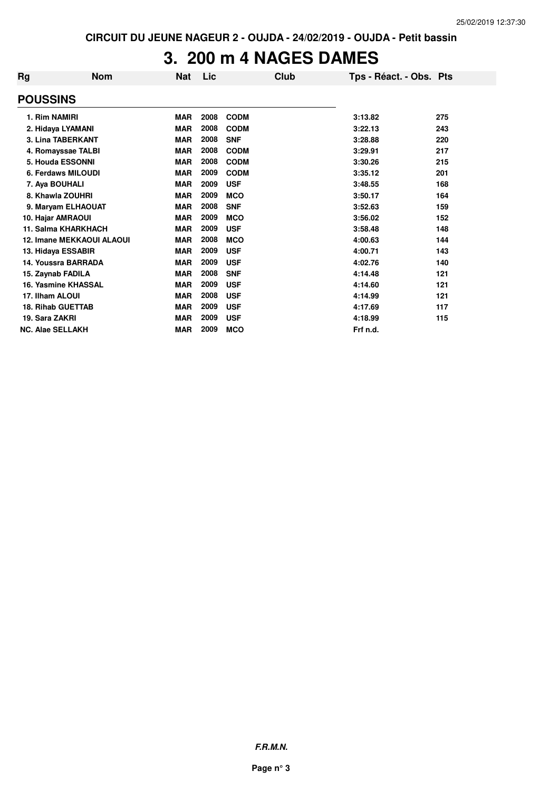## **3. 200 m 4 NAGES DAMES**

| Rg | <b>Nom</b>                       | <b>Nat</b> | Lic  | Club        | Tps - Réact. - Obs. Pts |     |
|----|----------------------------------|------------|------|-------------|-------------------------|-----|
|    | <b>POUSSINS</b>                  |            |      |             |                         |     |
|    | 1. Rim NAMIRI                    | <b>MAR</b> | 2008 | <b>CODM</b> | 3:13.82                 | 275 |
|    | 2. Hidaya LYAMANI                | <b>MAR</b> | 2008 | <b>CODM</b> | 3:22.13                 | 243 |
|    | <b>3. Lina TABERKANT</b>         | <b>MAR</b> | 2008 | <b>SNF</b>  | 3:28.88                 | 220 |
|    | 4. Romayssae TALBI               | <b>MAR</b> | 2008 | <b>CODM</b> | 3:29.91                 | 217 |
|    | 5. Houda ESSONNI                 | <b>MAR</b> | 2008 | <b>CODM</b> | 3:30.26                 | 215 |
|    | 6. Ferdaws MILOUDI               | <b>MAR</b> | 2009 | <b>CODM</b> | 3:35.12                 | 201 |
|    | 7. Aya BOUHALI                   | <b>MAR</b> | 2009 | <b>USF</b>  | 3:48.55                 | 168 |
|    | 8. Khawla ZOUHRI                 | <b>MAR</b> | 2009 | <b>MCO</b>  | 3:50.17                 | 164 |
|    | 9. Maryam ELHAOUAT               | <b>MAR</b> | 2008 | <b>SNF</b>  | 3:52.63                 | 159 |
|    | 10. Hajar AMRAOUI                | <b>MAR</b> | 2009 | <b>MCO</b>  | 3:56.02                 | 152 |
|    | <b>11. Salma KHARKHACH</b>       | <b>MAR</b> | 2009 | <b>USF</b>  | 3:58.48                 | 148 |
|    | <b>12. Imane MEKKAOUI ALAOUI</b> | <b>MAR</b> | 2008 | <b>MCO</b>  | 4:00.63                 | 144 |
|    | 13. Hidaya ESSABIR               | <b>MAR</b> | 2009 | <b>USF</b>  | 4:00.71                 | 143 |
|    | 14. Youssra BARRADA              | <b>MAR</b> | 2009 | <b>USF</b>  | 4:02.76                 | 140 |
|    | 15. Zaynab FADILA                | <b>MAR</b> | 2008 | <b>SNF</b>  | 4:14.48                 | 121 |
|    | 16. Yasmine KHASSAL              | <b>MAR</b> | 2009 | <b>USF</b>  | 4:14.60                 | 121 |
|    | 17. Ilham ALOUI                  | <b>MAR</b> | 2008 | <b>USF</b>  | 4:14.99                 | 121 |
|    | <b>18. Rihab GUETTAB</b>         | <b>MAR</b> | 2009 | <b>USF</b>  | 4:17.69                 | 117 |
|    | 19. Sara ZAKRI                   | <b>MAR</b> | 2009 | <b>USF</b>  | 4:18.99                 | 115 |
|    | <b>NC. Alae SELLAKH</b>          | <b>MAR</b> | 2009 | <b>MCO</b>  | Frf n.d.                |     |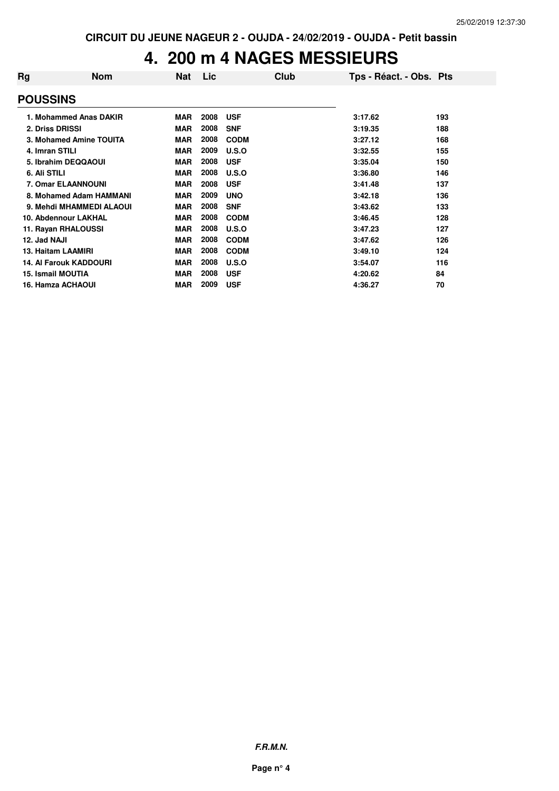## **4. 200 m 4 NAGES MESSIEURS**

| Rg              | <b>Nom</b>                    | <b>Nat</b> | Lic  | Club         | Tps - Réact. - Obs. Pts |     |
|-----------------|-------------------------------|------------|------|--------------|-------------------------|-----|
| <b>POUSSINS</b> |                               |            |      |              |                         |     |
|                 | 1. Mohammed Anas DAKIR        | <b>MAR</b> | 2008 | <b>USF</b>   | 3:17.62                 | 193 |
|                 | 2. Driss DRISSI               | <b>MAR</b> | 2008 | <b>SNF</b>   | 3:19.35                 | 188 |
|                 | 3. Mohamed Amine TOUITA       | <b>MAR</b> | 2008 | <b>CODM</b>  | 3:27.12                 | 168 |
| 4. Imran STILI  |                               | <b>MAR</b> | 2009 | U.S.O        | 3:32.55                 | 155 |
|                 | 5. Ibrahim DEQQAOUI           | <b>MAR</b> | 2008 | <b>USF</b>   | 3:35.04                 | 150 |
| 6. Ali STILI    |                               | <b>MAR</b> | 2008 | U.S.O        | 3:36.80                 | 146 |
|                 | <b>7. Omar ELAANNOUNI</b>     | <b>MAR</b> | 2008 | <b>USF</b>   | 3:41.48                 | 137 |
|                 | 8. Mohamed Adam HAMMANI       | <b>MAR</b> | 2009 | <b>UNO</b>   | 3:42.18                 | 136 |
|                 | 9. Mehdi MHAMMEDI ALAOUI      | <b>MAR</b> | 2008 | <b>SNF</b>   | 3:43.62                 | 133 |
|                 | 10. Abdennour LAKHAL          | <b>MAR</b> | 2008 | <b>CODM</b>  | 3:46.45                 | 128 |
|                 | 11. Rayan RHALOUSSI           | <b>MAR</b> | 2008 | U.S.O        | 3:47.23                 | 127 |
| 12. Jad NAJI    |                               | <b>MAR</b> | 2008 | <b>CODM</b>  | 3:47.62                 | 126 |
|                 | 13. Haitam LAAMIRI            | <b>MAR</b> | 2008 | <b>CODM</b>  | 3:49.10                 | 124 |
|                 | <b>14. Al Farouk KADDOURI</b> | <b>MAR</b> | 2008 | <b>U.S.O</b> | 3:54.07                 | 116 |
|                 | <b>15. Ismail MOUTIA</b>      | <b>MAR</b> | 2008 | <b>USF</b>   | 4:20.62                 | 84  |
|                 | <b>16. Hamza ACHAOUI</b>      | <b>MAR</b> | 2009 | <b>USF</b>   | 4:36.27                 | 70  |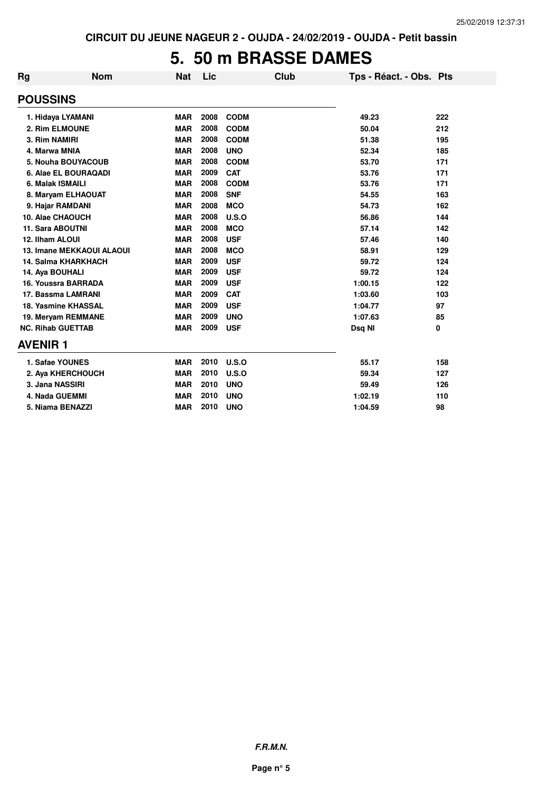## **5. 50 m BRASSE DAMES**

| <b>Rg</b>      | <b>Nom</b>                       | <b>Nat</b> | Lic  |             | Club | Tps - Réact. - Obs. Pts |     |
|----------------|----------------------------------|------------|------|-------------|------|-------------------------|-----|
|                | <b>POUSSINS</b>                  |            |      |             |      |                         |     |
|                | 1. Hidaya LYAMANI                | <b>MAR</b> | 2008 | <b>CODM</b> |      | 49.23                   | 222 |
|                | 2. Rim ELMOUNE                   | <b>MAR</b> | 2008 | <b>CODM</b> |      | 50.04                   | 212 |
|                | 3. Rim NAMIRI                    | <b>MAR</b> | 2008 | <b>CODM</b> |      | 51.38                   | 195 |
|                | 4. Marwa MNIA                    | <b>MAR</b> | 2008 | <b>UNO</b>  |      | 52.34                   | 185 |
|                | 5. Nouha BOUYACOUB               | <b>MAR</b> | 2008 | <b>CODM</b> |      | 53.70                   | 171 |
|                | 6. Alae EL BOURAQADI             | <b>MAR</b> | 2009 | <b>CAT</b>  |      | 53.76                   | 171 |
|                | 6. Malak ISMAILI                 | <b>MAR</b> | 2008 | <b>CODM</b> |      | 53.76                   | 171 |
|                | 8. Maryam ELHAOUAT               | <b>MAR</b> | 2008 | <b>SNF</b>  |      | 54.55                   | 163 |
|                | 9. Hajar RAMDANI                 | <b>MAR</b> | 2008 | <b>MCO</b>  |      | 54.73                   | 162 |
|                | 10. Alae CHAOUCH                 | <b>MAR</b> | 2008 | U.S.O       |      | 56.86                   | 144 |
|                | 11. Sara ABOUTNI                 | <b>MAR</b> | 2008 | <b>MCO</b>  |      | 57.14                   | 142 |
|                | 12. Ilham ALOUI                  | <b>MAR</b> | 2008 | <b>USF</b>  |      | 57.46                   | 140 |
|                | <b>13. Imane MEKKAOUI ALAOUI</b> | <b>MAR</b> | 2008 | <b>MCO</b>  |      | 58.91                   | 129 |
|                | <b>14. Salma KHARKHACH</b>       | <b>MAR</b> | 2009 | <b>USF</b>  |      | 59.72                   | 124 |
|                | 14. Aya BOUHALI                  | <b>MAR</b> | 2009 | <b>USF</b>  |      | 59.72                   | 124 |
|                | 16. Youssra BARRADA              | <b>MAR</b> | 2009 | <b>USF</b>  |      | 1:00.15                 | 122 |
|                | 17. Bassma LAMRANI               | <b>MAR</b> | 2009 | <b>CAT</b>  |      | 1:03.60                 | 103 |
|                | 18. Yasmine KHASSAL              | <b>MAR</b> | 2009 | <b>USF</b>  |      | 1:04.77                 | 97  |
|                | 19. Meryam REMMANE               | <b>MAR</b> | 2009 | <b>UNO</b>  |      | 1:07.63                 | 85  |
|                | <b>NC. Rihab GUETTAB</b>         | <b>MAR</b> | 2009 | <b>USF</b>  |      | Dsq NI                  | 0   |
| <b>AVENIR1</b> |                                  |            |      |             |      |                         |     |
|                | 1. Safae YOUNES                  | <b>MAR</b> | 2010 | U.S.O       |      | 55.17                   | 158 |
|                | 2. Aya KHERCHOUCH                | <b>MAR</b> | 2010 | U.S.O       |      | 59.34                   | 127 |
|                | 3. Jana NASSIRI                  | <b>MAR</b> | 2010 | <b>UNO</b>  |      | 59.49                   | 126 |
|                | 4. Nada GUEMMI                   | <b>MAR</b> | 2010 | <b>UNO</b>  |      | 1:02.19                 | 110 |
|                | 5. Niama BENAZZI                 | <b>MAR</b> | 2010 | <b>UNO</b>  |      | 1:04.59                 | 98  |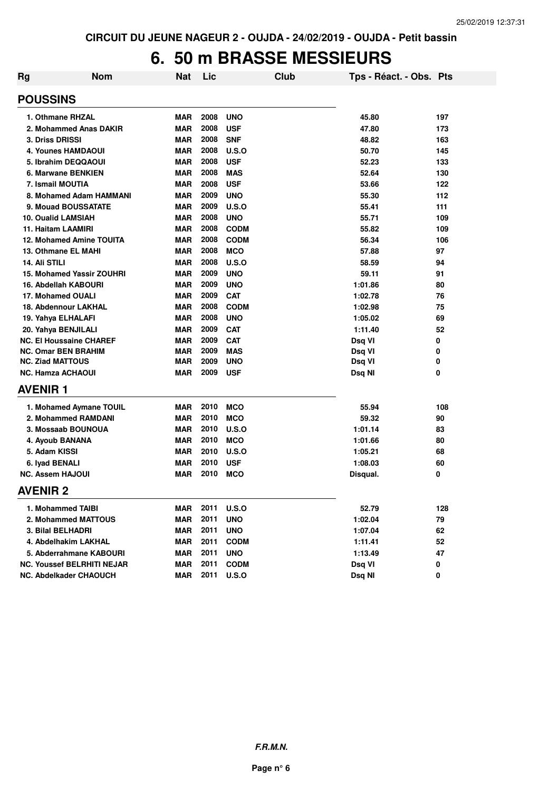## **6. 50 m BRASSE MESSIEURS**

| Rg | <b>Nom</b>                        | <b>Nat</b> | Lic  | Club         | Tps - Réact. - Obs. Pts |     |
|----|-----------------------------------|------------|------|--------------|-------------------------|-----|
|    | <b>POUSSINS</b>                   |            |      |              |                         |     |
|    | 1. Othmane RHZAL                  | <b>MAR</b> | 2008 | <b>UNO</b>   | 45.80                   | 197 |
|    | 2. Mohammed Anas DAKIR            | <b>MAR</b> | 2008 | <b>USF</b>   | 47.80                   | 173 |
|    | <b>3. Driss DRISSI</b>            | <b>MAR</b> | 2008 | <b>SNF</b>   | 48.82                   | 163 |
|    | <b>4. Younes HAMDAOUI</b>         | <b>MAR</b> | 2008 | U.S.O        | 50.70                   | 145 |
|    | 5. Ibrahim DEQQAOUI               | <b>MAR</b> | 2008 | <b>USF</b>   | 52.23                   | 133 |
|    | 6. Marwane BENKIEN                | <b>MAR</b> | 2008 | <b>MAS</b>   | 52.64                   | 130 |
|    | 7. Ismail MOUTIA                  | <b>MAR</b> | 2008 | <b>USF</b>   | 53.66                   | 122 |
|    | 8. Mohamed Adam HAMMANI           | <b>MAR</b> | 2009 | <b>UNO</b>   | 55.30                   | 112 |
|    | 9. Mouad BOUSSATATE               | <b>MAR</b> | 2009 | <b>U.S.O</b> | 55.41                   | 111 |
|    | <b>10. Oualid LAMSIAH</b>         | <b>MAR</b> | 2008 | <b>UNO</b>   | 55.71                   | 109 |
|    | 11. Haitam LAAMIRI                | <b>MAR</b> | 2008 | <b>CODM</b>  | 55.82                   | 109 |
|    | <b>12. Mohamed Amine TOUITA</b>   | <b>MAR</b> | 2008 | <b>CODM</b>  | 56.34                   | 106 |
|    | 13. Othmane EL MAHI               | <b>MAR</b> | 2008 | <b>MCO</b>   | 57.88                   | 97  |
|    | 14. Ali STILI                     | <b>MAR</b> | 2008 | <b>U.S.O</b> | 58.59                   | 94  |
|    | <b>15. Mohamed Yassir ZOUHRI</b>  | <b>MAR</b> | 2009 | <b>UNO</b>   | 59.11                   | 91  |
|    | 16. Abdellah KABOURI              | <b>MAR</b> | 2009 | <b>UNO</b>   | 1:01.86                 | 80  |
|    | 17. Mohamed OUALI                 | <b>MAR</b> | 2009 | <b>CAT</b>   | 1:02.78                 | 76  |
|    | 18. Abdennour LAKHAL              | <b>MAR</b> | 2008 | <b>CODM</b>  | 1:02.98                 | 75  |
|    | 19. Yahya ELHALAFI                | <b>MAR</b> | 2008 | <b>UNO</b>   | 1:05.02                 | 69  |
|    | 20. Yahya BENJILALI               | <b>MAR</b> | 2009 | <b>CAT</b>   | 1:11.40                 | 52  |
|    | <b>NC. El Houssaine CHAREF</b>    | <b>MAR</b> | 2009 | <b>CAT</b>   | Dsq VI                  | 0   |
|    | <b>NC. Omar BEN BRAHIM</b>        | <b>MAR</b> | 2009 | <b>MAS</b>   | Dsq VI                  | 0   |
|    | <b>NC. Ziad MATTOUS</b>           | MAR        | 2009 | <b>UNO</b>   | Dsq VI                  | 0   |
|    | <b>NC. Hamza ACHAOUI</b>          | <b>MAR</b> | 2009 | <b>USF</b>   | Dsq NI                  | 0   |
|    | <b>AVENIR1</b>                    |            |      |              |                         |     |
|    | 1. Mohamed Aymane TOUIL           | <b>MAR</b> | 2010 | <b>MCO</b>   | 55.94                   | 108 |
|    | 2. Mohammed RAMDANI               | <b>MAR</b> | 2010 | <b>MCO</b>   | 59.32                   | 90  |
|    | 3. Mossaab BOUNOUA                | MAR        | 2010 | U.S.O        | 1:01.14                 | 83  |
|    | 4. Ayoub BANANA                   | MAR        | 2010 | <b>MCO</b>   | 1:01.66                 | 80  |
|    | 5. Adam KISSI                     | MAR        | 2010 | U.S.O        | 1:05.21                 | 68  |
|    | 6. Iyad BENALI                    | <b>MAR</b> | 2010 | <b>USF</b>   | 1:08.03                 | 60  |
|    | <b>NC. Assem HAJOUI</b>           | <b>MAR</b> | 2010 | <b>MCO</b>   | Disqual.                | 0   |
|    | <b>AVENIR 2</b>                   |            |      |              |                         |     |
|    | 1. Mohammed TAIBI                 | <b>MAR</b> | 2011 | U.S.O        | 52.79                   | 128 |
|    | 2. Mohammed MATTOUS               | <b>MAR</b> | 2011 | <b>UNO</b>   | 1:02.04                 | 79  |
|    | 3. Bilal BELHADRI                 | <b>MAR</b> | 2011 | <b>UNO</b>   | 1:07.04                 | 62  |
|    | 4. Abdelhakim LAKHAL              | <b>MAR</b> | 2011 | <b>CODM</b>  | 1:11.41                 | 52  |
|    | 5. Abderrahmane KABOURI           | <b>MAR</b> | 2011 | <b>UNO</b>   | 1:13.49                 | 47  |
|    | <b>NC. Youssef BELRHITI NEJAR</b> | <b>MAR</b> | 2011 | <b>CODM</b>  | Dsq VI                  | 0   |
|    | NC. Abdelkader CHAOUCH            | <b>MAR</b> | 2011 | <b>U.S.O</b> | Dsq NI                  | 0   |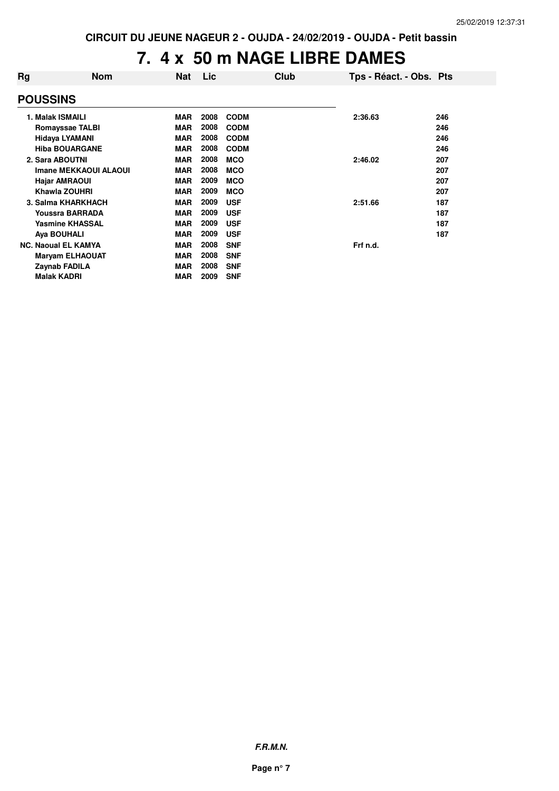## **7. 4 x 50 m NAGE LIBRE DAMES**

| Rg              | <b>Nom</b>                 | <b>Nat</b> | <b>Lic</b> |             | <b>Club</b> | Tps - Réact. - Obs. Pts |     |
|-----------------|----------------------------|------------|------------|-------------|-------------|-------------------------|-----|
| <b>POUSSINS</b> |                            |            |            |             |             |                         |     |
|                 | 1. Malak ISMAILI           | <b>MAR</b> | 2008       | <b>CODM</b> |             | 2:36.63                 | 246 |
|                 | <b>Romayssae TALBI</b>     | <b>MAR</b> | 2008       | <b>CODM</b> |             |                         | 246 |
|                 | <b>Hidaya LYAMANI</b>      | <b>MAR</b> | 2008       | <b>CODM</b> |             |                         | 246 |
|                 | <b>Hiba BOUARGANE</b>      | <b>MAR</b> | 2008       | <b>CODM</b> |             |                         | 246 |
|                 | 2. Sara ABOUTNI            | <b>MAR</b> | 2008       | <b>MCO</b>  |             | 2:46.02                 | 207 |
|                 | Imane MEKKAOUI ALAOUI      | <b>MAR</b> | 2008       | <b>MCO</b>  |             |                         | 207 |
|                 | <b>Hajar AMRAOUI</b>       | <b>MAR</b> | 2009       | <b>MCO</b>  |             |                         | 207 |
|                 | Khawla ZOUHRI              | <b>MAR</b> | 2009       | <b>MCO</b>  |             |                         | 207 |
|                 | 3. Salma KHARKHACH         | <b>MAR</b> | 2009       | <b>USF</b>  |             | 2:51.66                 | 187 |
|                 | Youssra BARRADA            | <b>MAR</b> | 2009       | <b>USF</b>  |             |                         | 187 |
|                 | <b>Yasmine KHASSAL</b>     | <b>MAR</b> | 2009       | <b>USF</b>  |             |                         | 187 |
|                 | Aya BOUHALI                | <b>MAR</b> | 2009       | <b>USF</b>  |             |                         | 187 |
|                 | <b>NC. Naoual EL KAMYA</b> | <b>MAR</b> | 2008       | <b>SNF</b>  |             | Frf n.d.                |     |
|                 | <b>Maryam ELHAOUAT</b>     | <b>MAR</b> | 2008       | <b>SNF</b>  |             |                         |     |
|                 | Zaynab FADILA              | <b>MAR</b> | 2008       | <b>SNF</b>  |             |                         |     |
|                 | <b>Malak KADRI</b>         | <b>MAR</b> | 2009       | <b>SNF</b>  |             |                         |     |

**F.R.M.N.**

**Page n° 7**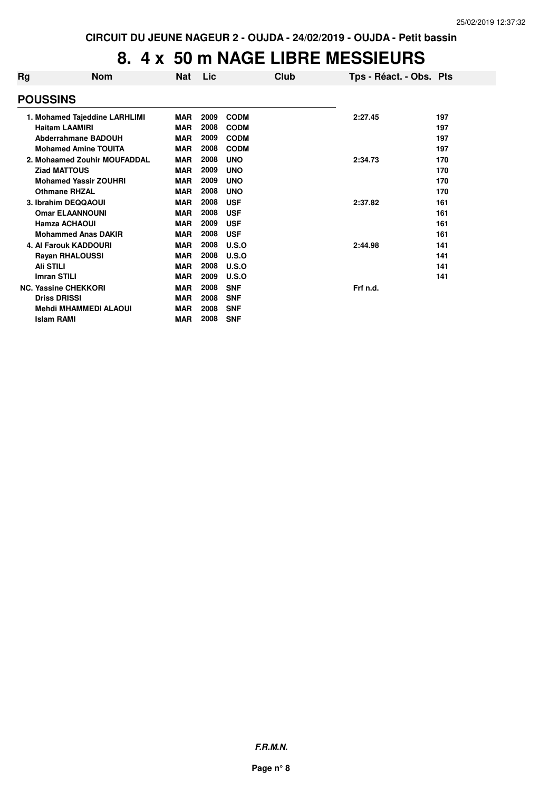# **8. 4 x 50 m NAGE LIBRE MESSIEURS**

| Rg | <b>Nom</b>                    | <b>Nat</b> | Lic  | Club        | Tps - Réact. - Obs. Pts |     |
|----|-------------------------------|------------|------|-------------|-------------------------|-----|
|    | <b>POUSSINS</b>               |            |      |             |                         |     |
|    | 1. Mohamed Tajeddine LARHLIMI | <b>MAR</b> | 2009 | <b>CODM</b> | 2:27.45                 | 197 |
|    | <b>Haitam LAAMIRI</b>         | <b>MAR</b> | 2008 | <b>CODM</b> |                         | 197 |
|    | <b>Abderrahmane BADOUH</b>    | <b>MAR</b> | 2009 | <b>CODM</b> |                         | 197 |
|    | <b>Mohamed Amine TOUITA</b>   | MAR        | 2008 | <b>CODM</b> |                         | 197 |
|    | 2. Mohaamed Zouhir MOUFADDAL  | <b>MAR</b> | 2008 | <b>UNO</b>  | 2:34.73                 | 170 |
|    | <b>Ziad MATTOUS</b>           | <b>MAR</b> | 2009 | <b>UNO</b>  |                         | 170 |
|    | <b>Mohamed Yassir ZOUHRI</b>  | <b>MAR</b> | 2009 | <b>UNO</b>  |                         | 170 |
|    | <b>Othmane RHZAL</b>          | <b>MAR</b> | 2008 | <b>UNO</b>  |                         | 170 |
|    | 3. Ibrahim DEQQAOUI           | <b>MAR</b> | 2008 | <b>USF</b>  | 2:37.82                 | 161 |
|    | <b>Omar ELAANNOUNI</b>        | <b>MAR</b> | 2008 | <b>USF</b>  |                         | 161 |
|    | <b>Hamza ACHAOUI</b>          | <b>MAR</b> | 2009 | <b>USF</b>  |                         | 161 |
|    | <b>Mohammed Anas DAKIR</b>    | <b>MAR</b> | 2008 | <b>USF</b>  |                         | 161 |
|    | <b>4. Al Farouk KADDOURI</b>  | <b>MAR</b> | 2008 | U.S.O       | 2:44.98                 | 141 |
|    | <b>Rayan RHALOUSSI</b>        | <b>MAR</b> | 2008 | U.S.O       |                         | 141 |
|    | <b>Ali STILI</b>              | <b>MAR</b> | 2008 | U.S.O       |                         | 141 |
|    | <b>Imran STILI</b>            | <b>MAR</b> | 2009 | U.S.O       |                         | 141 |
|    | <b>NC. Yassine CHEKKORI</b>   | <b>MAR</b> | 2008 | <b>SNF</b>  | Frf n.d.                |     |
|    | <b>Driss DRISSI</b>           | <b>MAR</b> | 2008 | <b>SNF</b>  |                         |     |
|    | <b>Mehdi MHAMMEDI ALAOUI</b>  | <b>MAR</b> | 2008 | <b>SNF</b>  |                         |     |
|    | <b>Islam RAMI</b>             | <b>MAR</b> | 2008 | <b>SNF</b>  |                         |     |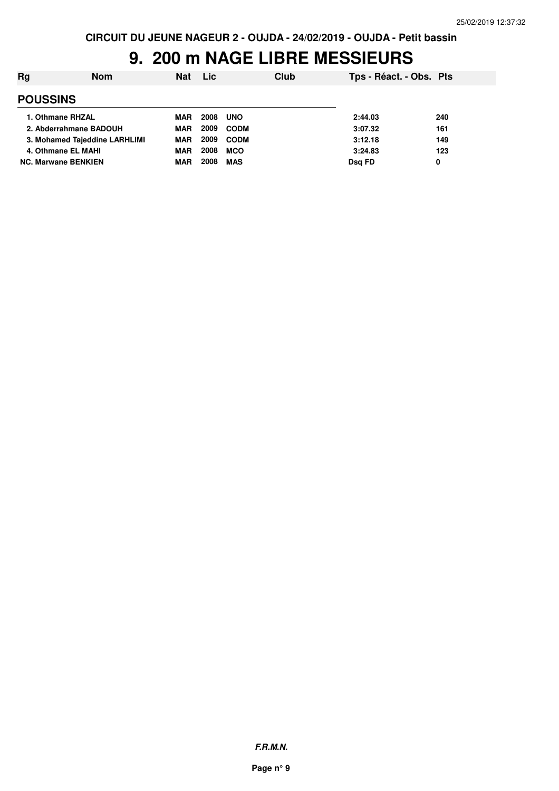#### **9. 200 m NAGE LIBRE MESSIEURS**

| Rg                            | <b>Nom</b> | <b>Nat</b> | Lic  | Club        | Tps - Réact. - Obs. Pts |     |
|-------------------------------|------------|------------|------|-------------|-------------------------|-----|
| <b>POUSSINS</b>               |            |            |      |             |                         |     |
| 1. Othmane RHZAL              |            | MAR        | 2008 | <b>UNO</b>  | 2:44.03                 | 240 |
| 2. Abderrahmane BADOUH        |            | <b>MAR</b> | 2009 | <b>CODM</b> | 3:07.32                 | 161 |
| 3. Mohamed Tajeddine LARHLIMI |            | <b>MAR</b> | 2009 | <b>CODM</b> | 3:12.18                 | 149 |
| 4. Othmane EL MAHI            |            | <b>MAR</b> | 2008 | <b>MCO</b>  | 3:24.83                 | 123 |
| <b>NC. Marwane BENKIEN</b>    |            | MAR        | 2008 | <b>MAS</b>  | Dsg FD                  | 0   |

**F.R.M.N.**

**Page n° 9**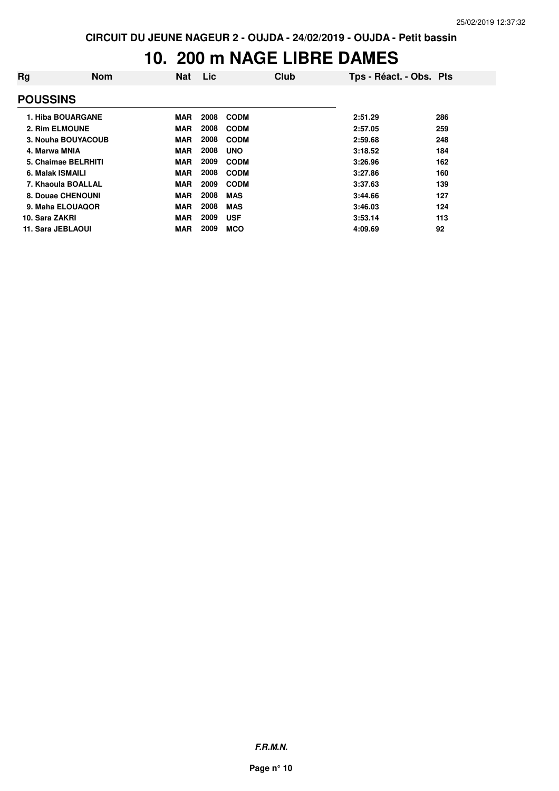## **10. 200 m NAGE LIBRE DAMES**

| Rg              | <b>Nom</b>          | <b>Nat</b> | Lic  | Club        | Tps - Réact. - Obs. Pts |     |
|-----------------|---------------------|------------|------|-------------|-------------------------|-----|
| <b>POUSSINS</b> |                     |            |      |             |                         |     |
|                 | 1. Hiba BOUARGANE   | <b>MAR</b> | 2008 | <b>CODM</b> | 2:51.29                 | 286 |
|                 | 2. Rim ELMOUNE      | <b>MAR</b> | 2008 | <b>CODM</b> | 2:57.05                 | 259 |
|                 | 3. Nouha BOUYACOUB  | <b>MAR</b> | 2008 | <b>CODM</b> | 2:59.68                 | 248 |
| 4. Marwa MNIA   |                     | <b>MAR</b> | 2008 | <b>UNO</b>  | 3:18.52                 | 184 |
|                 | 5. Chaimae BELRHITI | <b>MAR</b> | 2009 | <b>CODM</b> | 3:26.96                 | 162 |
|                 | 6. Malak ISMAILI    | <b>MAR</b> | 2008 | <b>CODM</b> | 3:27.86                 | 160 |
|                 | 7. Khaoula BOALLAL  | <b>MAR</b> | 2009 | <b>CODM</b> | 3:37.63                 | 139 |
|                 | 8. Douae CHENOUNI   | <b>MAR</b> | 2008 | <b>MAS</b>  | 3:44.66                 | 127 |
|                 | 9. Maha ELOUAQOR    | <b>MAR</b> | 2008 | <b>MAS</b>  | 3:46.03                 | 124 |
| 10. Sara ZAKRI  |                     | <b>MAR</b> | 2009 | <b>USF</b>  | 3:53.14                 | 113 |
|                 | 11. Sara JEBLAOUI   | <b>MAR</b> | 2009 | <b>MCO</b>  | 4:09.69                 | 92  |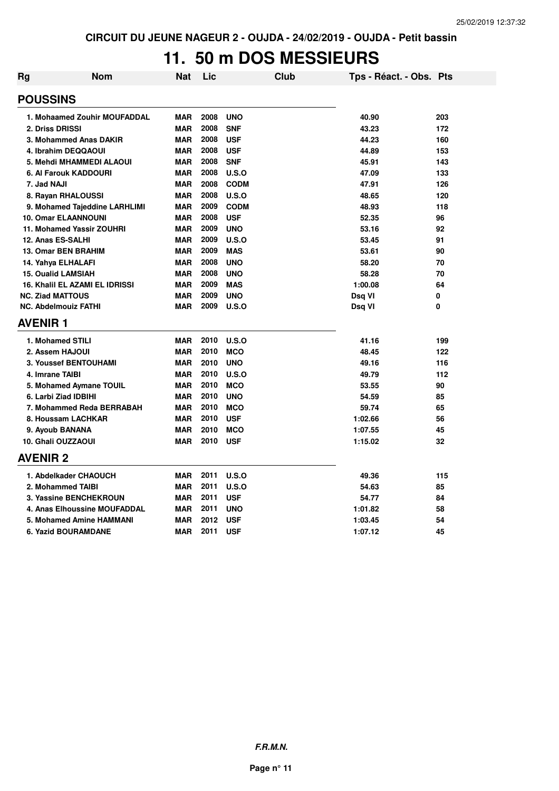## **11. 50 m DOS MESSIEURS**

| Rg | Nom                            | Nat        | Lic  | Club         | Tps - Réact. - Obs. Pts |     |
|----|--------------------------------|------------|------|--------------|-------------------------|-----|
|    | <b>POUSSINS</b>                |            |      |              |                         |     |
|    | 1. Mohaamed Zouhir MOUFADDAL   | <b>MAR</b> | 2008 | <b>UNO</b>   | 40.90                   | 203 |
|    | 2. Driss DRISSI                | <b>MAR</b> | 2008 | <b>SNF</b>   | 43.23                   | 172 |
|    | 3. Mohammed Anas DAKIR         | <b>MAR</b> | 2008 | <b>USF</b>   | 44.23                   | 160 |
|    | 4. Ibrahim DEQQAOUI            | <b>MAR</b> | 2008 | <b>USF</b>   | 44.89                   | 153 |
|    | 5. Mehdi MHAMMEDI ALAOUI       | <b>MAR</b> | 2008 | <b>SNF</b>   | 45.91                   | 143 |
|    | 6. Al Farouk KADDOURI          | <b>MAR</b> | 2008 | U.S.O        | 47.09                   | 133 |
|    | 7. Jad NAJI                    | <b>MAR</b> | 2008 | <b>CODM</b>  | 47.91                   | 126 |
|    | 8. Rayan RHALOUSSI             | <b>MAR</b> | 2008 | U.S.O        | 48.65                   | 120 |
|    | 9. Mohamed Tajeddine LARHLIMI  | <b>MAR</b> | 2009 | <b>CODM</b>  | 48.93                   | 118 |
|    | <b>10. Omar ELAANNOUNI</b>     | <b>MAR</b> | 2008 | <b>USF</b>   | 52.35                   | 96  |
|    | 11. Mohamed Yassir ZOUHRI      | <b>MAR</b> | 2009 | <b>UNO</b>   | 53.16                   | 92  |
|    | 12. Anas ES-SALHI              | <b>MAR</b> | 2009 | U.S.O        | 53.45                   | 91  |
|    | 13. Omar BEN BRAHIM            | <b>MAR</b> | 2009 | <b>MAS</b>   | 53.61                   | 90  |
|    | 14. Yahya ELHALAFI             | <b>MAR</b> | 2008 | <b>UNO</b>   | 58.20                   | 70  |
|    | <b>15. Oualid LAMSIAH</b>      | <b>MAR</b> | 2008 | <b>UNO</b>   | 58.28                   | 70  |
|    | 16. Khalil EL AZAMI EL IDRISSI | <b>MAR</b> | 2009 | <b>MAS</b>   | 1:00.08                 | 64  |
|    | <b>NC. Ziad MATTOUS</b>        | <b>MAR</b> | 2009 | <b>UNO</b>   | Dsq VI                  | 0   |
|    | <b>NC. Abdelmouiz FATHI</b>    | <b>MAR</b> | 2009 | U.S.O        | Dsq VI                  | 0   |
|    | <b>AVENIR1</b>                 |            |      |              |                         |     |
|    | 1. Mohamed STILI               | <b>MAR</b> | 2010 | <b>U.S.O</b> | 41.16                   | 199 |
|    | 2. Assem HAJOUI                | <b>MAR</b> | 2010 | <b>MCO</b>   | 48.45                   | 122 |
|    | 3. Youssef BENTOUHAMI          | <b>MAR</b> | 2010 | <b>UNO</b>   | 49.16                   | 116 |
|    | 4. Imrane TAIBI                | <b>MAR</b> | 2010 | U.S.O        | 49.79                   | 112 |
|    | 5. Mohamed Aymane TOUIL        | <b>MAR</b> | 2010 | <b>MCO</b>   | 53.55                   | 90  |
|    | 6. Larbi Ziad IDBIHI           | <b>MAR</b> | 2010 | <b>UNO</b>   | 54.59                   | 85  |
|    | 7. Mohammed Reda BERRABAH      | <b>MAR</b> | 2010 | <b>MCO</b>   | 59.74                   | 65  |
|    | 8. Houssam LACHKAR             | <b>MAR</b> | 2010 | <b>USF</b>   | 1:02.66                 | 56  |
|    | 9. Ayoub BANANA                | <b>MAR</b> | 2010 | <b>MCO</b>   | 1:07.55                 | 45  |
|    | 10. Ghali OUZZAOUI             | <b>MAR</b> | 2010 | <b>USF</b>   | 1:15.02                 | 32  |
|    | <b>AVENIR 2</b>                |            |      |              |                         |     |
|    | 1. Abdelkader CHAOUCH          | <b>MAR</b> | 2011 | U.S.O        | 49.36                   | 115 |
|    | 2. Mohammed TAIBI              | <b>MAR</b> | 2011 | U.S.O        | 54.63                   | 85  |
|    | 3. Yassine BENCHEKROUN         | <b>MAR</b> | 2011 | <b>USF</b>   | 54.77                   | 84  |
|    | 4. Anas Elhoussine MOUFADDAL   | <b>MAR</b> | 2011 | <b>UNO</b>   | 1:01.82                 | 58  |
|    | 5. Mohamed Amine HAMMANI       | <b>MAR</b> | 2012 | <b>USF</b>   | 1:03.45                 | 54  |
|    | 6. Yazid BOURAMDANE            | <b>MAR</b> | 2011 | <b>USF</b>   | 1:07.12                 | 45  |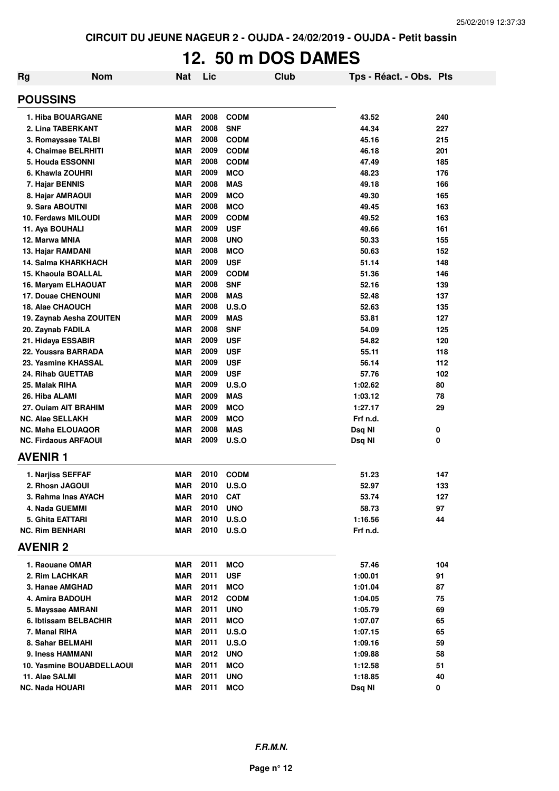# **12. 50 m DOS DAMES**

| <b>Rg</b>                   | <b>Nom</b> | Nat        | Lic  |              | Club | Tps - Réact. - Obs. Pts |     |
|-----------------------------|------------|------------|------|--------------|------|-------------------------|-----|
| <b>POUSSINS</b>             |            |            |      |              |      |                         |     |
| 1. Hiba BOUARGANE           |            | <b>MAR</b> | 2008 | <b>CODM</b>  |      | 43.52                   | 240 |
| 2. Lina TABERKANT           |            | <b>MAR</b> | 2008 | <b>SNF</b>   |      | 44.34                   | 227 |
| 3. Romayssae TALBI          |            | <b>MAR</b> | 2008 | <b>CODM</b>  |      | 45.16                   | 215 |
| 4. Chaimae BELRHITI         |            | <b>MAR</b> | 2009 | <b>CODM</b>  |      | 46.18                   | 201 |
| 5. Houda ESSONNI            |            | <b>MAR</b> | 2008 | <b>CODM</b>  |      | 47.49                   | 185 |
| 6. Khawla ZOUHRI            |            | <b>MAR</b> | 2009 | <b>MCO</b>   |      | 48.23                   | 176 |
| 7. Hajar BENNIS             |            | <b>MAR</b> | 2008 | <b>MAS</b>   |      | 49.18                   | 166 |
| 8. Hajar AMRAOUI            |            | <b>MAR</b> | 2009 | <b>MCO</b>   |      | 49.30                   | 165 |
| 9. Sara ABOUTNI             |            | <b>MAR</b> | 2008 | <b>MCO</b>   |      | 49.45                   | 163 |
| <b>10. Ferdaws MILOUDI</b>  |            | <b>MAR</b> | 2009 | <b>CODM</b>  |      | 49.52                   | 163 |
| 11. Aya BOUHALI             |            | <b>MAR</b> | 2009 | <b>USF</b>   |      | 49.66                   | 161 |
| 12. Marwa MNIA              |            | <b>MAR</b> | 2008 | <b>UNO</b>   |      | 50.33                   | 155 |
| 13. Hajar RAMDANI           |            | <b>MAR</b> | 2008 | <b>MCO</b>   |      | 50.63                   | 152 |
| <b>14. Salma KHARKHACH</b>  |            | <b>MAR</b> | 2009 | <b>USF</b>   |      | 51.14                   | 148 |
| 15. Khaoula BOALLAL         |            | <b>MAR</b> | 2009 | <b>CODM</b>  |      | 51.36                   | 146 |
| 16. Maryam ELHAOUAT         |            | <b>MAR</b> | 2008 | <b>SNF</b>   |      | 52.16                   | 139 |
| <b>17. Douae CHENOUNI</b>   |            | <b>MAR</b> | 2008 | <b>MAS</b>   |      | 52.48                   | 137 |
| 18. Alae CHAOUCH            |            | <b>MAR</b> | 2008 | <b>U.S.O</b> |      | 52.63                   | 135 |
| 19. Zaynab Aesha ZOUITEN    |            | <b>MAR</b> | 2009 | <b>MAS</b>   |      | 53.81                   | 127 |
| 20. Zaynab FADILA           |            | <b>MAR</b> | 2008 | <b>SNF</b>   |      | 54.09                   | 125 |
| 21. Hidaya ESSABIR          |            | <b>MAR</b> | 2009 | <b>USF</b>   |      | 54.82                   | 120 |
| 22. Youssra BARRADA         |            | MAR        | 2009 | <b>USF</b>   |      | 55.11                   | 118 |
| 23. Yasmine KHASSAL         |            | <b>MAR</b> | 2009 | <b>USF</b>   |      | 56.14                   | 112 |
| 24. Rihab GUETTAB           |            | <b>MAR</b> | 2009 | <b>USF</b>   |      | 57.76                   | 102 |
| 25. Malak RIHA              |            | <b>MAR</b> | 2009 | U.S.O        |      | 1:02.62                 | 80  |
| 26. Hiba ALAMI              |            | <b>MAR</b> | 2009 | <b>MAS</b>   |      | 1:03.12                 | 78  |
| 27. Ouiam AIT BRAHIM        |            | <b>MAR</b> | 2009 | <b>MCO</b>   |      | 1:27.17                 | 29  |
| <b>NC. Alae SELLAKH</b>     |            | <b>MAR</b> | 2009 | <b>MCO</b>   |      | Frf n.d.                |     |
| <b>NC. Maha ELOUAQOR</b>    |            | <b>MAR</b> | 2008 | <b>MAS</b>   |      | Dsq NI                  | 0   |
| <b>NC. Firdaous ARFAOUI</b> |            | MAR        | 2009 | <b>U.S.O</b> |      | Dsq NI                  | 0   |
| <b>AVENIR1</b>              |            |            |      |              |      |                         |     |
| 1. Narjiss SEFFAF           |            | <b>MAR</b> | 2010 | <b>CODM</b>  |      | 51.23                   | 147 |
| 2. Rhosn JAGOUI             |            | <b>MAR</b> | 2010 | <b>U.S.O</b> |      | 52.97                   | 133 |
| 3. Rahma Inas AYACH         |            | MAR        | 2010 | <b>CAT</b>   |      | 53.74                   | 127 |
| 4. Nada GUEMMI              |            | <b>MAR</b> | 2010 | <b>UNO</b>   |      | 58.73                   | 97  |
| 5. Ghita EATTARI            |            | MAR        | 2010 | U.S.O        |      | 1:16.56                 | 44  |
| <b>NC. Rim BENHARI</b>      |            | MAR        | 2010 | U.S.O        |      | Frf n.d.                |     |
| <b>AVENIR 2</b>             |            |            |      |              |      |                         |     |
| 1. Raouane OMAR             |            | <b>MAR</b> | 2011 | <b>MCO</b>   |      | 57.46                   | 104 |
| 2. Rim LACHKAR              |            | <b>MAR</b> | 2011 | <b>USF</b>   |      | 1:00.01                 | 91  |
| 3. Hanae AMGHAD             |            | MAR        | 2011 | <b>MCO</b>   |      | 1:01.04                 | 87  |
| 4. Amira BADOUH             |            | MAR        | 2012 | <b>CODM</b>  |      | 1:04.05                 | 75  |
| 5. Mayssae AMRANI           |            | MAR        | 2011 | <b>UNO</b>   |      | 1:05.79                 | 69  |
| 6. Ibtissam BELBACHIR       |            | MAR        | 2011 | <b>MCO</b>   |      | 1:07.07                 | 65  |
| 7. Manal RIHA               |            | MAR        | 2011 | <b>U.S.O</b> |      | 1:07.15                 | 65  |
| 8. Sahar BELMAHI            |            | <b>MAR</b> | 2011 | <b>U.S.O</b> |      | 1:09.16                 | 59  |
| 9. Iness HAMMANI            |            | MAR        | 2012 | <b>UNO</b>   |      | 1:09.88                 | 58  |
| 10. Yasmine BOUABDELLAOUI   |            | <b>MAR</b> | 2011 | <b>MCO</b>   |      | 1:12.58                 | 51  |
| 11. Alae SALMI              |            | <b>MAR</b> | 2011 | <b>UNO</b>   |      | 1:18.85                 | 40  |
| <b>NC. Nada HOUARI</b>      |            | <b>MAR</b> | 2011 | <b>MCO</b>   |      | Dsq NI                  | 0   |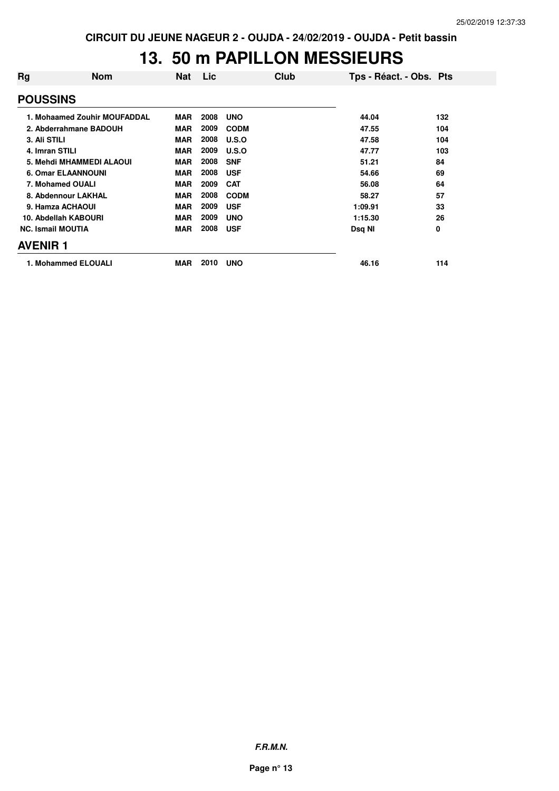#### **13. 50 m PAPILLON MESSIEURS**

| Rg                        | <b>Nom</b>                   | Nat        | Lic  | Club        | Tps - Réact. - Obs. Pts |     |
|---------------------------|------------------------------|------------|------|-------------|-------------------------|-----|
| <b>POUSSINS</b>           |                              |            |      |             |                         |     |
|                           | 1. Mohaamed Zouhir MOUFADDAL | <b>MAR</b> | 2008 | <b>UNO</b>  | 44.04                   | 132 |
| 2. Abderrahmane BADOUH    |                              | <b>MAR</b> | 2009 | <b>CODM</b> | 47.55                   | 104 |
| 3. Ali STILI              |                              | <b>MAR</b> | 2008 | U.S.O       | 47.58                   | 104 |
| 4. Imran STILI            |                              | <b>MAR</b> | 2009 | U.S.O       | 47.77                   | 103 |
| 5. Mehdi MHAMMEDI ALAOUI  |                              | <b>MAR</b> | 2008 | <b>SNF</b>  | 51.21                   | 84  |
| <b>6. Omar ELAANNOUNI</b> |                              | <b>MAR</b> | 2008 | <b>USF</b>  | 54.66                   | 69  |
| 7. Mohamed OUALI          |                              | <b>MAR</b> | 2009 | <b>CAT</b>  | 56.08                   | 64  |
| 8. Abdennour LAKHAL       |                              | <b>MAR</b> | 2008 | <b>CODM</b> | 58.27                   | 57  |
| 9. Hamza ACHAOUI          |                              | <b>MAR</b> | 2009 | <b>USF</b>  | 1:09.91                 | 33  |
| 10. Abdellah KABOURI      |                              | <b>MAR</b> | 2009 | <b>UNO</b>  | 1:15.30                 | 26  |
| <b>NC. Ismail MOUTIA</b>  |                              | <b>MAR</b> | 2008 | <b>USF</b>  | Dsq NI                  | 0   |
| <b>AVENIR 1</b>           |                              |            |      |             |                         |     |
| 1. Mohammed ELOUALI       |                              | <b>MAR</b> | 2010 | <b>UNO</b>  | 46.16                   | 114 |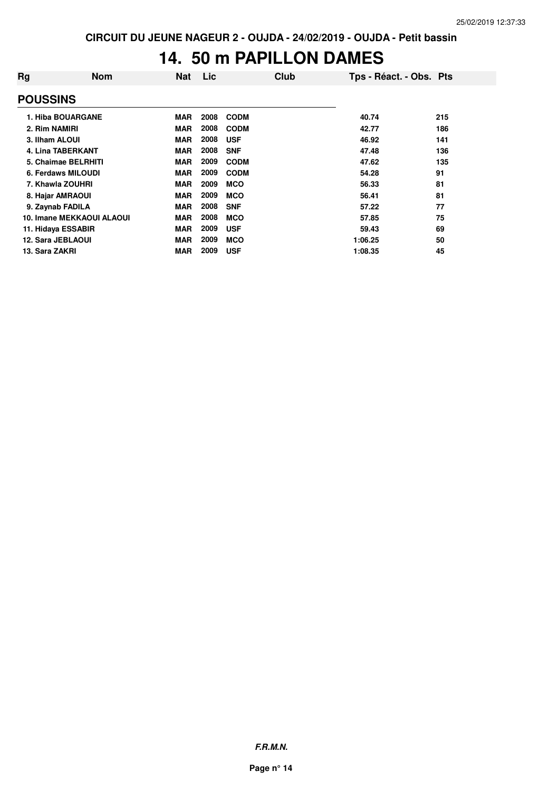#### **14. 50 m PAPILLON DAMES**

| Rg                        | <b>Nom</b> | <b>Nat</b> | Lic  | Club        | Tps - Réact. - Obs. Pts |     |
|---------------------------|------------|------------|------|-------------|-------------------------|-----|
| <b>POUSSINS</b>           |            |            |      |             |                         |     |
| 1. Hiba BOUARGANE         |            | <b>MAR</b> | 2008 | <b>CODM</b> | 40.74                   | 215 |
| 2. Rim NAMIRI             |            | <b>MAR</b> | 2008 | <b>CODM</b> | 42.77                   | 186 |
| 3. Ilham ALOUI            |            | <b>MAR</b> | 2008 | <b>USF</b>  | 46.92                   | 141 |
| <b>4. Lina TABERKANT</b>  |            | <b>MAR</b> | 2008 | <b>SNF</b>  | 47.48                   | 136 |
| 5. Chaimae BELRHITI       |            | <b>MAR</b> | 2009 | <b>CODM</b> | 47.62                   | 135 |
| 6. Ferdaws MILOUDI        |            | <b>MAR</b> | 2009 | <b>CODM</b> | 54.28                   | 91  |
| 7. Khawla ZOUHRI          |            | <b>MAR</b> | 2009 | <b>MCO</b>  | 56.33                   | 81  |
| 8. Hajar AMRAOUI          |            | <b>MAR</b> | 2009 | <b>MCO</b>  | 56.41                   | 81  |
| 9. Zaynab FADILA          |            | <b>MAR</b> | 2008 | <b>SNF</b>  | 57.22                   | 77  |
| 10. Imane MEKKAOUI ALAOUI |            | <b>MAR</b> | 2008 | <b>MCO</b>  | 57.85                   | 75  |
| 11. Hidaya ESSABIR        |            | <b>MAR</b> | 2009 | <b>USF</b>  | 59.43                   | 69  |
| <b>12. Sara JEBLAOUI</b>  |            | <b>MAR</b> | 2009 | <b>MCO</b>  | 1:06.25                 | 50  |
| 13. Sara ZAKRI            |            | <b>MAR</b> | 2009 | <b>USF</b>  | 1:08.35                 | 45  |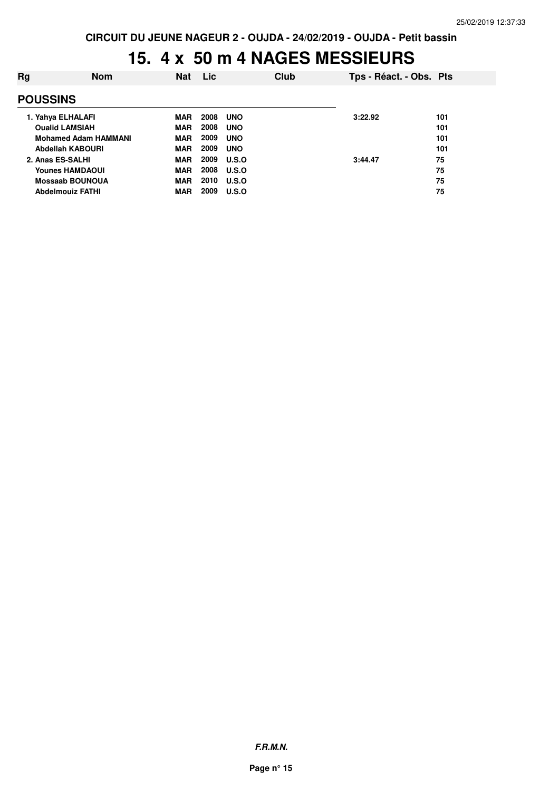#### **15. 4 x 50 m 4 NAGES MESSIEURS**

| Rg                          | <b>Nom</b>              | <b>Nat</b> | Lic  | Club         | Tps - Réact. - Obs. Pts |     |
|-----------------------------|-------------------------|------------|------|--------------|-------------------------|-----|
|                             | <b>POUSSINS</b>         |            |      |              |                         |     |
|                             | 1. Yahya ELHALAFI       | <b>MAR</b> | 2008 | <b>UNO</b>   | 3:22.92                 | 101 |
| <b>Oualid LAMSIAH</b>       |                         | <b>MAR</b> | 2008 | <b>UNO</b>   |                         | 101 |
| <b>Mohamed Adam HAMMANI</b> |                         | <b>MAR</b> | 2009 | <b>UNO</b>   |                         | 101 |
| Abdellah KABOURI            |                         | <b>MAR</b> | 2009 | <b>UNO</b>   |                         | 101 |
| 2. Anas ES-SALHI            |                         | <b>MAR</b> | 2009 | U.S.O        | 3:44.47                 | 75  |
| <b>Younes HAMDAOUI</b>      |                         | <b>MAR</b> | 2008 | <b>U.S.O</b> |                         | 75  |
| <b>Mossaab BOUNOUA</b>      |                         | <b>MAR</b> | 2010 | U.S.O        |                         | 75  |
|                             | <b>Abdelmouiz FATHI</b> | <b>MAR</b> | 2009 | U.S.O        |                         | 75  |
|                             |                         |            |      |              |                         |     |